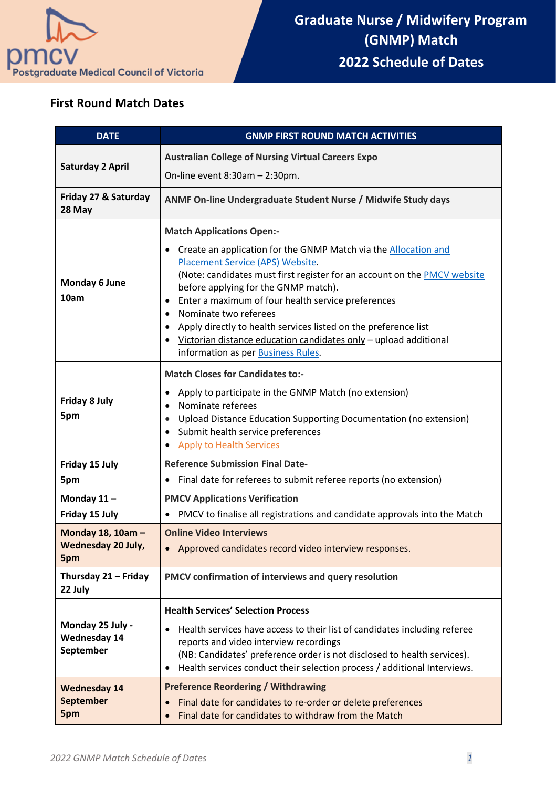

## **First Round Match Dates**

| <b>DATE</b>                                           | <b>GNMP FIRST ROUND MATCH ACTIVITIES</b>                                                                                                                                                                                                                                                                                                                                                                                                                                            |
|-------------------------------------------------------|-------------------------------------------------------------------------------------------------------------------------------------------------------------------------------------------------------------------------------------------------------------------------------------------------------------------------------------------------------------------------------------------------------------------------------------------------------------------------------------|
| <b>Saturday 2 April</b>                               | <b>Australian College of Nursing Virtual Careers Expo</b>                                                                                                                                                                                                                                                                                                                                                                                                                           |
|                                                       | On-line event $8:30am - 2:30pm$ .                                                                                                                                                                                                                                                                                                                                                                                                                                                   |
| Friday 27 & Saturday<br>28 May                        | ANMF On-line Undergraduate Student Nurse / Midwife Study days                                                                                                                                                                                                                                                                                                                                                                                                                       |
|                                                       | <b>Match Applications Open:-</b>                                                                                                                                                                                                                                                                                                                                                                                                                                                    |
| Monday 6 June<br>10am                                 | Create an application for the GNMP Match via the Allocation and<br>Placement Service (APS) Website.<br>(Note: candidates must first register for an account on the PMCV website<br>before applying for the GNMP match).<br>Enter a maximum of four health service preferences<br>Nominate two referees<br>Apply directly to health services listed on the preference list<br>Victorian distance education candidates only - upload additional<br>information as per Business Rules. |
| <b>Friday 8 July</b><br>5pm                           | <b>Match Closes for Candidates to:-</b><br>Apply to participate in the GNMP Match (no extension)<br>Nominate referees<br>Upload Distance Education Supporting Documentation (no extension)<br>Submit health service preferences<br>$\bullet$<br><b>Apply to Health Services</b>                                                                                                                                                                                                     |
| Friday 15 July                                        | <b>Reference Submission Final Date-</b>                                                                                                                                                                                                                                                                                                                                                                                                                                             |
| 5pm                                                   | Final date for referees to submit referee reports (no extension)<br>$\bullet$                                                                                                                                                                                                                                                                                                                                                                                                       |
| Monday 11-<br>Friday 15 July                          | <b>PMCV Applications Verification</b><br>PMCV to finalise all registrations and candidate approvals into the Match<br>$\bullet$                                                                                                                                                                                                                                                                                                                                                     |
| Monday 18, 10am -<br><b>Wednesday 20 July,</b><br>5pm | <b>Online Video Interviews</b><br>Approved candidates record video interview responses.                                                                                                                                                                                                                                                                                                                                                                                             |
| Thursday 21 - Friday<br>22 July                       | PMCV confirmation of interviews and query resolution                                                                                                                                                                                                                                                                                                                                                                                                                                |
| Monday 25 July -<br><b>Wednesday 14</b><br>September  | <b>Health Services' Selection Process</b><br>Health services have access to their list of candidates including referee<br>٠<br>reports and video interview recordings<br>(NB: Candidates' preference order is not disclosed to health services).<br>Health services conduct their selection process / additional Interviews.<br>٠<br><b>Preference Reordering / Withdrawing</b>                                                                                                     |
| <b>Wednesday 14</b><br><b>September</b><br>5pm        | Final date for candidates to re-order or delete preferences<br>Final date for candidates to withdraw from the Match                                                                                                                                                                                                                                                                                                                                                                 |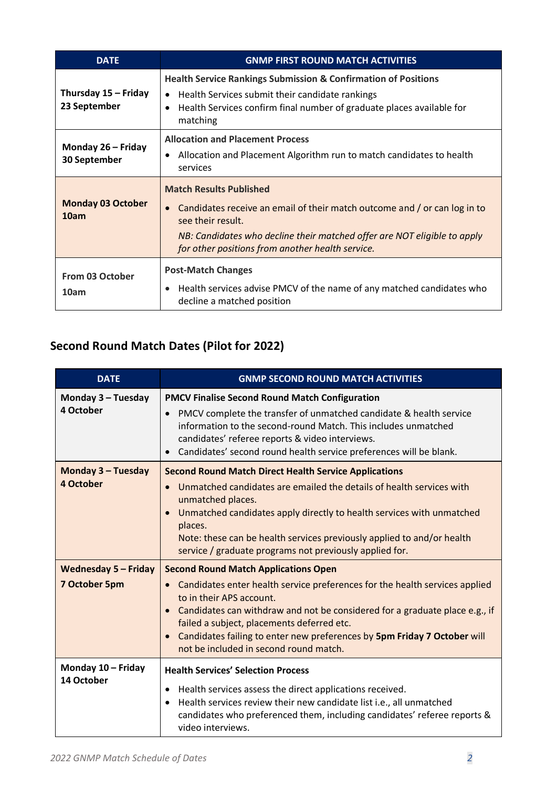| <b>DATE</b>                          | <b>GNMP FIRST ROUND MATCH ACTIVITIES</b>                                                                                                                                                                                                                           |
|--------------------------------------|--------------------------------------------------------------------------------------------------------------------------------------------------------------------------------------------------------------------------------------------------------------------|
| Thursday 15 - Friday<br>23 September | <b>Health Service Rankings Submission &amp; Confirmation of Positions</b><br>• Health Services submit their candidate rankings<br>Health Services confirm final number of graduate places available for<br>$\bullet$<br>matching                                   |
| Monday 26 - Friday<br>30 September   | <b>Allocation and Placement Process</b><br>Allocation and Placement Algorithm run to match candidates to health<br>services                                                                                                                                        |
| <b>Monday 03 October</b><br>10am     | <b>Match Results Published</b><br>• Candidates receive an email of their match outcome and / or can log in to<br>see their result.<br>NB: Candidates who decline their matched offer are NOT eligible to apply<br>for other positions from another health service. |
| From 03 October<br>10am              | <b>Post-Match Changes</b><br>Health services advise PMCV of the name of any matched candidates who<br>$\bullet$<br>decline a matched position                                                                                                                      |

## **Second Round Match Dates (Pilot for 2022)**

| <b>DATE</b>                                  | <b>GNMP SECOND ROUND MATCH ACTIVITIES</b>                                                                                                                                                                                                                                                                                                                                                                 |
|----------------------------------------------|-----------------------------------------------------------------------------------------------------------------------------------------------------------------------------------------------------------------------------------------------------------------------------------------------------------------------------------------------------------------------------------------------------------|
| Monday 3 - Tuesday<br>4 October              | <b>PMCV Finalise Second Round Match Configuration</b><br>PMCV complete the transfer of unmatched candidate & health service<br>$\bullet$<br>information to the second-round Match. This includes unmatched<br>candidates' referee reports & video interviews.<br>• Candidates' second round health service preferences will be blank.                                                                     |
| Monday 3 - Tuesday<br>4 October              | <b>Second Round Match Direct Health Service Applications</b><br>Unmatched candidates are emailed the details of health services with<br>unmatched places.<br>Unmatched candidates apply directly to health services with unmatched<br>places.<br>Note: these can be health services previously applied to and/or health<br>service / graduate programs not previously applied for.                        |
| <b>Wednesday 5 - Friday</b><br>7 October 5pm | <b>Second Round Match Applications Open</b><br>Candidates enter health service preferences for the health services applied<br>to in their APS account.<br>Candidates can withdraw and not be considered for a graduate place e.g., if<br>failed a subject, placements deferred etc.<br>Candidates failing to enter new preferences by 5pm Friday 7 October will<br>not be included in second round match. |
| Monday 10 - Friday<br>14 October             | <b>Health Services' Selection Process</b><br>Health services assess the direct applications received.<br>٠<br>Health services review their new candidate list i.e., all unmatched<br>$\bullet$<br>candidates who preferenced them, including candidates' referee reports &<br>video interviews.                                                                                                           |